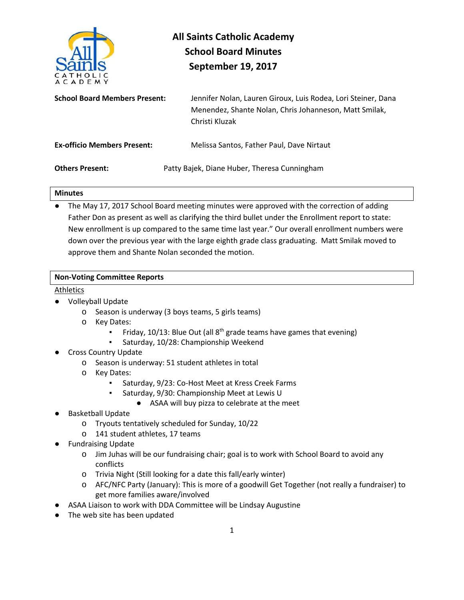

# **All Saints Catholic Academy School Board Minutes September 19, 2017**

| <b>School Board Members Present:</b> | Jennifer Nolan, Lauren Giroux, Luis Rodea, Lori Steiner, Dana<br>Menendez, Shante Nolan, Chris Johanneson, Matt Smilak,<br>Christi Kluzak |
|--------------------------------------|-------------------------------------------------------------------------------------------------------------------------------------------|
| <b>Ex-officio Members Present:</b>   | Melissa Santos, Father Paul, Dave Nirtaut                                                                                                 |
| <b>Others Present:</b>               | Patty Bajek, Diane Huber, Theresa Cunningham                                                                                              |

#### **Minutes**

The May 17, 2017 School Board meeting minutes were approved with the correction of adding Father Don as present as well as clarifying the third bullet under the Enrollment report to state: New enrollment is up compared to the same time last year." Our overall enrollment numbers were down over the previous year with the large eighth grade class graduating. Matt Smilak moved to approve them and Shante Nolan seconded the motion.

#### **Non-Voting Committee Reports**

#### Athletics

- Volleyball Update
	- o Season is underway (3 boys teams, 5 girls teams)
	- o Key Dates:
		- Friday, 10/13: Blue Out (all  $8<sup>th</sup>$  grade teams have games that evening)
		- Saturday, 10/28: Championship Weekend
- Cross Country Update
	- o Season is underway: 51 student athletes in total
	- o Key Dates:
		- Saturday, 9/23: Co-Host Meet at Kress Creek Farms
		- Saturday, 9/30: Championship Meet at Lewis U
			- ASAA will buy pizza to celebrate at the meet
- **Basketball Update** 
	- o Tryouts tentatively scheduled for Sunday, 10/22
	- o 141 student athletes, 17 teams
- Fundraising Update
	- o Jim Juhas will be our fundraising chair; goal is to work with School Board to avoid any conflicts
	- o Trivia Night (Still looking for a date this fall/early winter)
	- o AFC/NFC Party (January): This is more of a goodwill Get Together (not really a fundraiser) to get more families aware/involved
- ASAA Liaison to work with DDA Committee will be Lindsay Augustine
- The web site has been updated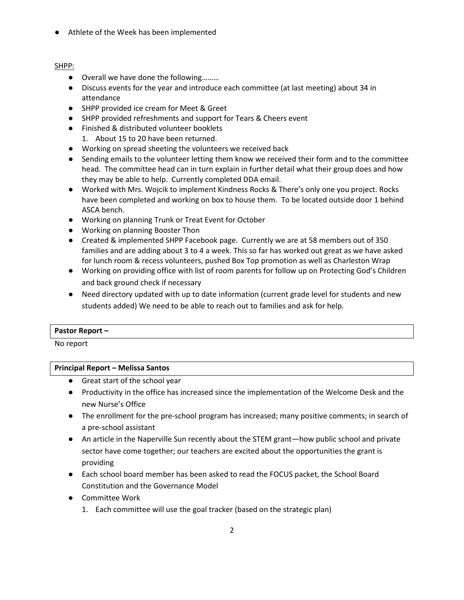● Athlete of the Week has been implemented

# SHPP:

- Overall we have done the following.........
- Discuss events for the year and introduce each committee (at last meeting) about 34 in attendance
- SHPP provided ice cream for Meet & Greet
- SHPP provided refreshments and support for Tears & Cheers event
- Finished & distributed volunteer booklets
	- 1. About 15 to 20 have been returned.
- Working on spread sheeting the volunteers we received back
- Sending emails to the volunteer letting them know we received their form and to the committee head. The committee head can in turn explain in further detail what their group does and how they may be able to help. Currently completed DDA email.
- Worked with Mrs. Wojcik to implement Kindness Rocks & There's only one you project. Rocks have been completed and working on box to house them. To be located outside door 1 behind ASCA bench.
- Working on planning Trunk or Treat Event for October
- Working on planning Booster Thon
- Created & implemented SHPP Facebook page. Currently we are at 58 members out of 350 families and are adding about 3 to 4 a week. This so far has worked out great as we have asked for lunch room & recess volunteers, pushed Box Top promotion as well as Charleston Wrap
- Working on providing office with list of room parents for follow up on Protecting God's Children and back ground check if necessary
- Need directory updated with up to date information (current grade level for students and new students added) We need to be able to reach out to families and ask for help.

#### **Pastor Report –**

No report

# **Principal Report – Melissa Santos**

- Great start of the school year
- Productivity in the office has increased since the implementation of the Welcome Desk and the new Nurse's Office
- The enrollment for the pre-school program has increased; many positive comments; in search of a pre-school assistant
- An article in the Naperville Sun recently about the STEM grant—how public school and private sector have come together; our teachers are excited about the opportunities the grant is providing
- Each school board member has been asked to read the FOCUS packet, the School Board Constitution and the Governance Model
- Committee Work
	- 1. Each committee will use the goal tracker (based on the strategic plan)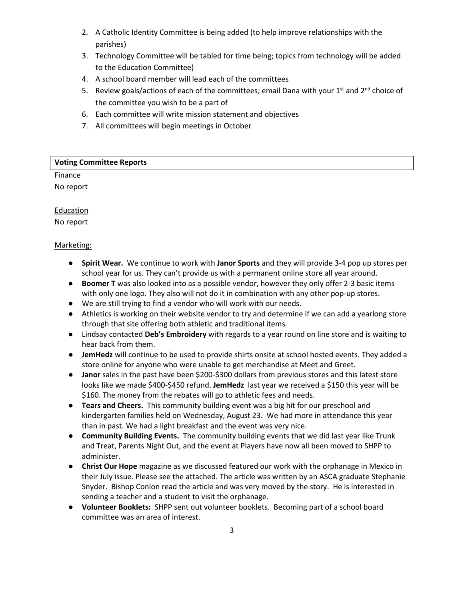- 2. A Catholic Identity Committee is being added (to help improve relationships with the parishes)
- 3. Technology Committee will be tabled for time being; topics from technology will be added to the Education Committee)
- 4. A school board member will lead each of the committees
- 5. Review goals/actions of each of the committees; email Dana with your  $1^{st}$  and  $2^{nd}$  choice of the committee you wish to be a part of
- 6. Each committee will write mission statement and objectives
- 7. All committees will begin meetings in October

# **Voting Committee Reports**

### **Finance** No report

**Education** No report

## Marketing:

- **Spirit Wear.** We continue to work with **Janor Sports** and they will provide 3-4 pop up stores per school year for us. They can't provide us with a permanent online store all year around.
- **Boomer T** was also looked into as a possible vendor, however they only offer 2-3 basic items with only one logo. They also will not do it in combination with any other pop-up stores.
- We are still trying to find a vendor who will work with our needs.
- Athletics is working on their website vendor to try and determine if we can add a yearlong store through that site offering both athletic and traditional items.
- Lindsay contacted **Deb's Embroidery** with regards to a year round on line store and is waiting to hear back from them.
- **JemHedz** will continue to be used to provide shirts onsite at school hosted events. They added a store online for anyone who were unable to get merchandise at Meet and Greet.
- **Janor** sales in the past have been \$200-\$300 dollars from previous stores and this latest store looks like we made \$400-\$450 refund. **JemHedz** last year we received a \$150 this year will be \$160. The money from the rebates will go to athletic fees and needs.
- **Tears and Cheers.** This community building event was a big hit for our preschool and kindergarten families held on Wednesday, August 23. We had more in attendance this year than in past. We had a light breakfast and the event was very nice.
- **Community Building Events.** The community building events that we did last year like Trunk and Treat, Parents Night Out, and the event at Players have now all been moved to SHPP to administer.
- **Christ Our Hope** magazine as we discussed featured our work with the orphanage in Mexico in their July issue. Please see the attached. The article was written by an ASCA graduate Stephanie Snyder. Bishop Conlon read the article and was very moved by the story. He is interested in sending a teacher and a student to visit the orphanage.
- **Volunteer Booklets:** SHPP sent out volunteer booklets. Becoming part of a school board committee was an area of interest.